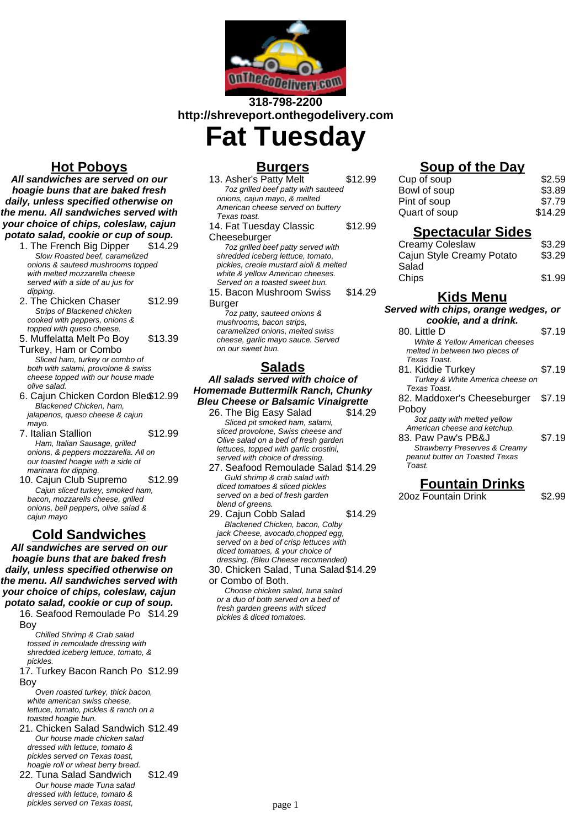

# **318-798-2200 http://shreveport.onthegodelivery.com**

**Fat Tuesday**

## **Hot Poboys**

**All sandwiches are served on our hoagie buns that are baked fresh daily, unless specified otherwise on the menu. All sandwiches served with your choice of chips, coleslaw, cajun potato salad, cookie or cup of soup.**

- 1. The French Big Dipper \$14.29 Slow Roasted beef, caramelized onions & sauteed mushrooms topped with melted mozzarella cheese served with a side of au jus for dipping.
- 2. The Chicken Chaser \$12.99 Strips of Blackened chicken cooked with peppers, onions & topped with queso cheese.
- 5. Muffelatta Melt Po Boy \$13.39
- Turkey, Ham or Combo Sliced ham, turkey or combo of both with salami, provolone & swiss cheese topped with our house made olive salad.
- 6. Cajun Chicken Cordon Bleu\$12.99 Blackened Chicken, ham, jalapenos, queso cheese & cajun mayo.
- 7. Italian Stallion \$12.99 Ham, Italian Sausage, grilled onions, & peppers mozzarella. All on our toasted hoagie with a side of marinara for dipping.
- 10. Cajun Club Supremo \$12.99 Cajun sliced turkey, smoked ham, bacon, mozzarells cheese, grilled onions, bell peppers, olive salad & cajun mayo

### **Cold Sandwiches**

**All sandwiches are served on our hoagie buns that are baked fresh daily, unless specified otherwise on the menu. All sandwiches served with your choice of chips, coleslaw, cajun potato salad, cookie or cup of soup.**

16. Seafood Remoulade Po \$14.29 Boy

Chilled Shrimp & Crab salad tossed in remoulade dressing with shredded iceberg lettuce, tomato, & pickles.

17. Turkey Bacon Ranch Po \$12.99 Boy

Oven roasted turkey, thick bacon, white american swiss cheese, lettuce, tomato, pickles & ranch on a toasted hoagie bun.

- 21. Chicken Salad Sandwich \$12.49 Our house made chicken salad dressed with lettuce, tomato & pickles served on Texas toast, hoagie roll or wheat berry bread.
- 22. Tuna Salad Sandwich \$12.49 Our house made Tuna salad dressed with lettuce, tomato & pickles served on Texas toast,

## **Burgers**

13. Asher's Patty Melt \$12.99 7oz grilled beef patty with sauteed onions, cajun mayo, & melted American cheese served on buttery Texas toast. 14. Fat Tuesday Classic **Cheeseburger** \$12.99

7oz grilled beef patty served with shredded iceberg lettuce, tomato, pickles, creole mustard aioli & melted white & yellow American cheeses. Served on a toasted sweet bun.

15. Bacon Mushroom Swiss \$14.29

#### Burger

7oz patty, sauteed onions & mushrooms, bacon strips, caramelized onions, melted swiss cheese, garlic mayo sauce. Served on our sweet bun.

## **Salads**

#### **All salads served with choice of Homemade Buttermilk Ranch, Chunky Bleu Cheese or Balsamic Vinaigrette**

- 26. The Big Easy Salad \$14.29 Sliced pit smoked ham, salami, sliced provolone, Swiss cheese and Olive salad on a bed of fresh garden lettuces, topped with garlic crostini, served with choice of dressing.
- 27. Seafood Remoulade Salad \$14.29 Guld shrimp & crab salad with diced tomatoes & sliced pickles served on a bed of fresh garden blend of greens.

29. Cajun Cobb Salad \$14.29 Blackened Chicken, bacon, Colby jack Cheese, avocado,chopped egg, served on a bed of crisp lettuces with diced tomatoes, & your choice of dressing. (Bleu Cheese recomended) 30. Chicken Salad, Tuna Salad \$14.29

or Combo of Both.

Choose chicken salad, tuna salad or a duo of both served on a bed of fresh garden greens with sliced pickles & diced tomatoes.

# **Soup of the Day**

| \$2.59  |
|---------|
| \$3.89  |
| \$7.79  |
| \$14.29 |
|         |

### **Spectacular Sides**

| Creamy Coleslaw<br>Cajun Style Creamy Potato | \$3.29<br>\$3.29 |
|----------------------------------------------|------------------|
| Salad                                        |                  |
| Chips                                        | \$1.99           |

## **Kids Menu**

### **Served with chips, orange wedges, or**

| cookie, and a drink. |                                          |        |
|----------------------|------------------------------------------|--------|
|                      | 80. Little D                             | \$7.19 |
|                      | White & Yellow American cheeses          |        |
|                      | melted in between two pieces of          |        |
|                      | Texas Toast                              |        |
|                      | 81. Kiddie Turkey                        | \$7.19 |
|                      | Turkey & White America cheese on         |        |
|                      | Texas Toast                              |        |
|                      | 82. Maddoxer's Cheeseburger              | \$7.19 |
|                      | Poboy                                    |        |
|                      | 3oz patty with melted yellow             |        |
|                      | American cheese and ketchup.             |        |
|                      | 83. Paw Paw's PB&J                       | \$7.19 |
|                      | <b>Strawberry Preserves &amp; Creamy</b> |        |
|                      | peanut butter on Toasted Texas           |        |
|                      | Toast                                    |        |
|                      |                                          |        |

### **Fountain Drinks**

20oz Fountain Drink \$2.99

page 1